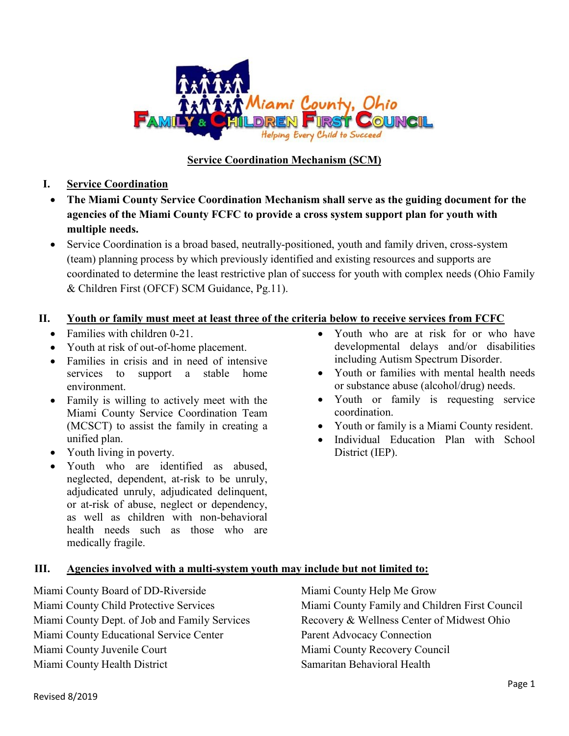

# **Service Coordination Mechanism (SCM)**

**I. Service Coordination** 

- **The Miami County Service Coordination Mechanism shall serve as the guiding document for the agencies of the Miami County FCFC to provide a cross system support plan for youth with multiple needs.**
- Service Coordination is a broad based, neutrally-positioned, youth and family driven, cross-system (team) planning process by which previously identified and existing resources and supports are coordinated to determine the least restrictive plan of success for youth with complex needs (Ohio Family & Children First (OFCF) SCM Guidance, Pg.11).

## **II. Youth or family must meet at least three of the criteria below to receive services from FCFC**

- Families with children 0-21.
- Youth at risk of out-of-home placement.
- Families in crisis and in need of intensive services to support a stable home environment.
- Family is willing to actively meet with the Miami County Service Coordination Team (MCSCT) to assist the family in creating a unified plan.
- Youth living in poverty.
- Youth who are identified as abused, neglected, dependent, at-risk to be unruly, adjudicated unruly, adjudicated delinquent, or at-risk of abuse, neglect or dependency, as well as children with non-behavioral health needs such as those who are medically fragile.
- Youth who are at risk for or who have developmental delays and/or disabilities including Autism Spectrum Disorder.
- Youth or families with mental health needs or substance abuse (alcohol/drug) needs.
- Youth or family is requesting service coordination.
- Youth or family is a Miami County resident.
- Individual Education Plan with School District (IEP).

#### **III. Agencies involved with a multi-system youth may include but not limited to:**

Miami County Board of DD-Riverside Miami County Child Protective Services Miami County Dept. of Job and Family Services Miami County Educational Service Center Miami County Juvenile Court Miami County Health District

Miami County Help Me Grow Miami County Family and Children First Council Recovery & Wellness Center of Midwest Ohio Parent Advocacy Connection Miami County Recovery Council Samaritan Behavioral Health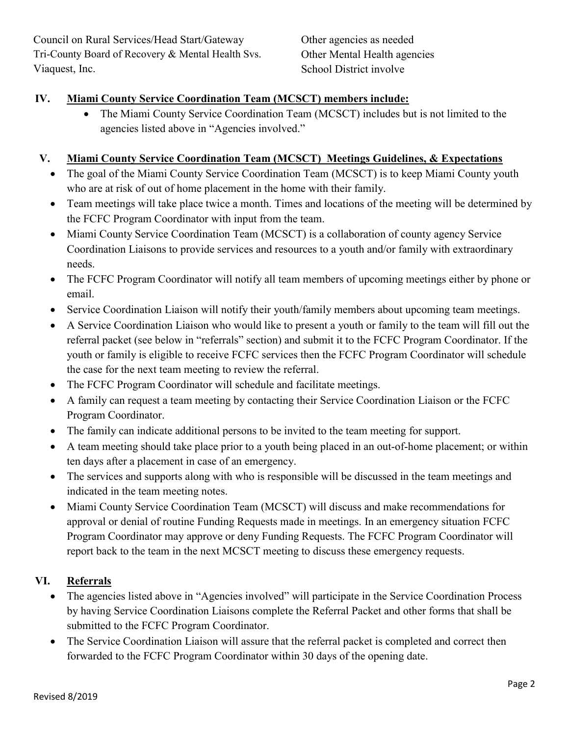Council on Rural Services/Head Start/Gateway Tri-County Board of Recovery & Mental Health Svs. Viaquest, Inc.

Other agencies as needed Other Mental Health agencies School District involve

## **IV. Miami County Service Coordination Team (MCSCT) members include:**

 The Miami County Service Coordination Team (MCSCT) includes but is not limited to the agencies listed above in "Agencies involved."

### **V. Miami County Service Coordination Team (MCSCT) Meetings Guidelines, & Expectations**

- The goal of the Miami County Service Coordination Team (MCSCT) is to keep Miami County youth who are at risk of out of home placement in the home with their family.
- Team meetings will take place twice a month. Times and locations of the meeting will be determined by the FCFC Program Coordinator with input from the team.
- Miami County Service Coordination Team (MCSCT) is a collaboration of county agency Service Coordination Liaisons to provide services and resources to a youth and/or family with extraordinary needs.
- The FCFC Program Coordinator will notify all team members of upcoming meetings either by phone or email.
- Service Coordination Liaison will notify their youth/family members about upcoming team meetings.
- A Service Coordination Liaison who would like to present a youth or family to the team will fill out the referral packet (see below in "referrals" section) and submit it to the FCFC Program Coordinator. If the youth or family is eligible to receive FCFC services then the FCFC Program Coordinator will schedule the case for the next team meeting to review the referral.
- The FCFC Program Coordinator will schedule and facilitate meetings.
- A family can request a team meeting by contacting their Service Coordination Liaison or the FCFC Program Coordinator.
- The family can indicate additional persons to be invited to the team meeting for support.
- A team meeting should take place prior to a youth being placed in an out-of-home placement; or within ten days after a placement in case of an emergency.
- The services and supports along with who is responsible will be discussed in the team meetings and indicated in the team meeting notes.
- Miami County Service Coordination Team (MCSCT) will discuss and make recommendations for approval or denial of routine Funding Requests made in meetings. In an emergency situation FCFC Program Coordinator may approve or deny Funding Requests. The FCFC Program Coordinator will report back to the team in the next MCSCT meeting to discuss these emergency requests.

### **VI. Referrals**

- The agencies listed above in "Agencies involved" will participate in the Service Coordination Process by having Service Coordination Liaisons complete the Referral Packet and other forms that shall be submitted to the FCFC Program Coordinator.
- The Service Coordination Liaison will assure that the referral packet is completed and correct then forwarded to the FCFC Program Coordinator within 30 days of the opening date.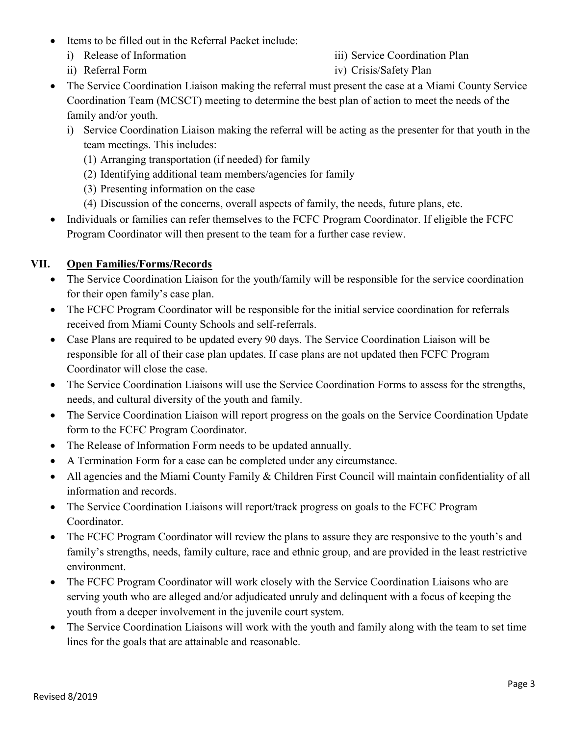- Items to be filled out in the Referral Packet include:
	- i) Release of Information
	- ii) Referral Form
- iii) Service Coordination Plan
- iv) Crisis/Safety Plan
- The Service Coordination Liaison making the referral must present the case at a Miami County Service Coordination Team (MCSCT) meeting to determine the best plan of action to meet the needs of the family and/or youth.
	- i) Service Coordination Liaison making the referral will be acting as the presenter for that youth in the team meetings. This includes:
		- (1) Arranging transportation (if needed) for family
		- (2) Identifying additional team members/agencies for family
		- (3) Presenting information on the case
		- (4) Discussion of the concerns, overall aspects of family, the needs, future plans, etc.
- Individuals or families can refer themselves to the FCFC Program Coordinator. If eligible the FCFC Program Coordinator will then present to the team for a further case review.

## **VII. Open Families/Forms/Records**

- The Service Coordination Liaison for the youth/family will be responsible for the service coordination for their open family's case plan.
- The FCFC Program Coordinator will be responsible for the initial service coordination for referrals received from Miami County Schools and self-referrals.
- Case Plans are required to be updated every 90 days. The Service Coordination Liaison will be responsible for all of their case plan updates. If case plans are not updated then FCFC Program Coordinator will close the case.
- The Service Coordination Liaisons will use the Service Coordination Forms to assess for the strengths, needs, and cultural diversity of the youth and family.
- The Service Coordination Liaison will report progress on the goals on the Service Coordination Update form to the FCFC Program Coordinator.
- The Release of Information Form needs to be updated annually.
- A Termination Form for a case can be completed under any circumstance.
- All agencies and the Miami County Family & Children First Council will maintain confidentiality of all information and records.
- The Service Coordination Liaisons will report/track progress on goals to the FCFC Program Coordinator.
- The FCFC Program Coordinator will review the plans to assure they are responsive to the youth's and family's strengths, needs, family culture, race and ethnic group, and are provided in the least restrictive environment.
- The FCFC Program Coordinator will work closely with the Service Coordination Liaisons who are serving youth who are alleged and/or adjudicated unruly and delinquent with a focus of keeping the youth from a deeper involvement in the juvenile court system.
- The Service Coordination Liaisons will work with the youth and family along with the team to set time lines for the goals that are attainable and reasonable.